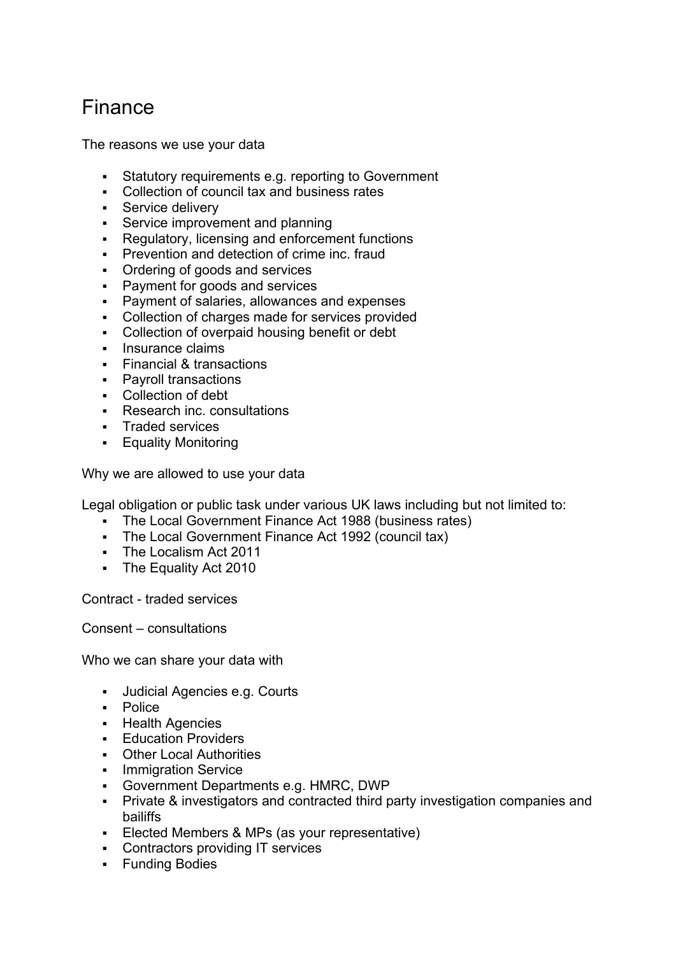## Finance

The reasons we use your data

- Statutory requirements e.g. reporting to Government
- Collection of council tax and business rates
- **Service delivery**
- **Service improvement and planning**
- Regulatory, licensing and enforcement functions
- **Prevention and detection of crime inc. frauders**
- Ordering of goods and services
- **Payment for goods and services**
- Payment of salaries, allowances and expenses
- Collection of charges made for services provided
- Collection of overpaid housing benefit or debt
- **Insurance claims**
- Financial & transactions
- **•** Payroll transactions
- Collection of debt
- **Research inc. consultations**
- **Traded services**
- **Equality Monitoring**

Why we are allowed to use your data

Legal obligation or public task under various UK laws including but not limited to:

- The Local Government Finance Act 1988 (business rates)
- The Local Government Finance Act 1992 (council tax)
- The Localism Act 2011
- **The Equality Act 2010**

Contract - traded services

Consent – consultations

Who we can share your data with

- Judicial Agencies e.g. Courts
- **-** Police
- **-** Health Agencies
- **Education Providers**
- Other Local Authorities
- Immigration Service
- Government Departments e.g. HMRC, DWP
- Private & investigators and contracted third party investigation companies and bailiffs
- Elected Members & MPs (as your representative)
- Contractors providing IT services
- **Funding Bodies**